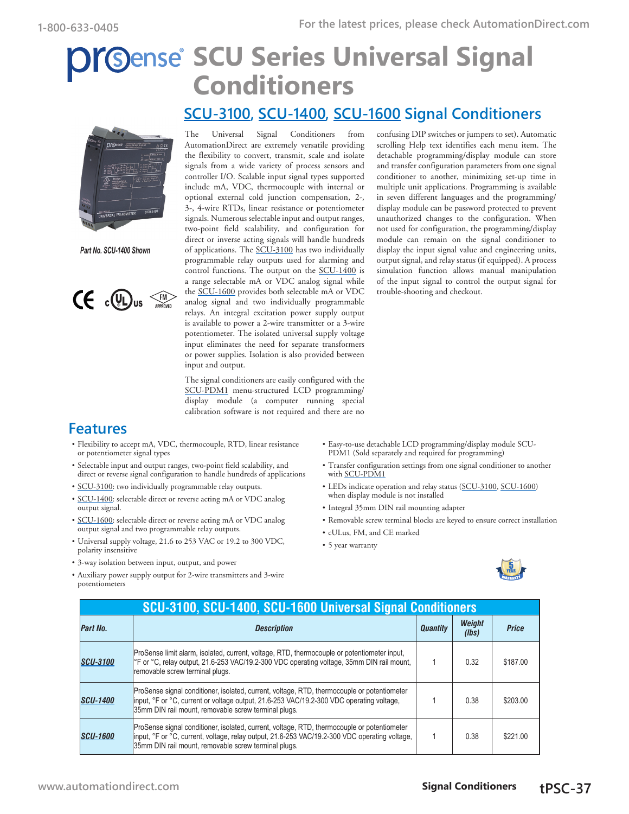# **Sense SCU Series Universal Signal Conditioners**

#### **[SCU-3100](http://www.automationdirect.com/pn/SCU-3100), [SCU-1400](http://www.automationdirect.com/pn/SCU-1400), [SCU-1600](http://www.automationdirect.com/pn/SCU-1600) Signal Conditioners**



*Part No. SCU-1400 Shown*



The Universal Signal Conditioners from AutomationDirect are extremely versatile providing the flexibility to convert, transmit, scale and isolate signals from a wide variety of process sensors and controller I/O. Scalable input signal types supported include mA, VDC, thermocouple with internal or optional external cold junction compensation, 2-, 3-, 4-wire RTDs, linear resistance or potentiometer signals. Numerous selectable input and output ranges, two-point field scalability, and configuration for direct or inverse acting signals will handle hundreds of applications. The [SCU-3100](http://www.automationdirect.com/pn/SCU-3100) has two individually programmable relay outputs used for alarming and control functions. The output on the [SCU-1400](http://www.automationdirect.com/pn/SCU-1400) is a range selectable mA or VDC analog signal while the [SCU-1600](http://www.automationdirect.com/pn/SCU-1600) provides both selectable mA or VDC analog signal and two individually programmable relays. An integral excitation power supply output is available to power a 2-wire transmitter or a 3-wire potentiometer. The isolated universal supply voltage input eliminates the need for separate transformers or power supplies. Isolation is also provided between input and output.

The signal conditioners are easily configured with the [SCU-PDM1](http://www.automationdirect.com/pn/SCU-PDM1) menu-structured LCD programming/ display module (a computer running special calibration software is not required and there are no

confusing DIP switches or jumpers to set). Automatic scrolling Help text identifies each menu item. The detachable programming/display module can store and transfer configuration parameters from one signal conditioner to another, minimizing set-up time in multiple unit applications. Programming is available in seven different languages and the programming/ display module can be password protected to prevent unauthorized changes to the configuration. When not used for configuration, the programming/display module can remain on the signal conditioner to display the input signal value and engineering units, output signal, and relay status (if equipped). A process simulation function allows manual manipulation of the input signal to control the output signal for trouble-shooting and checkout.

### **Features**

- Flexibility to accept mA, VDC, thermocouple, RTD, linear resistance or potentiometer signal types
- Selectable input and output ranges, two-point field scalability, and direct or reverse signal configuration to handle hundreds of applications
- [SCU-3100:](http://www.automationdirect.com/pn/SCU-3100) two individually programmable relay outputs.
- [SCU-1400:](http://www.automationdirect.com/pn/SCU-1400) selectable direct or reverse acting mA or VDC analog output signal.
- [SCU-1600:](http://www.automationdirect.com/pn/SCU-1600) selectable direct or reverse acting mA or VDC analog output signal and two programmable relay outputs.
- Universal supply voltage, 21.6 to 253 VAC or 19.2 to 300 VDC, polarity insensitive
- 3-way isolation between input, output, and power
- Auxiliary power supply output for 2-wire transmitters and 3-wire potentiometers
- Easy-to-use detachable LCD programming/display module SCU-PDM1 (Sold separately and required for programming)
- Transfer configuration settings from one signal conditioner to another with [SCU-PDM1](http://www.automationdirect.com/pn/SCU-PDM1)
- LEDs indicate operation and relay status ([SCU-3100,](http://www.automationdirect.com/pn/SCU-3100) [SCU-1600\)](http://www.automationdirect.com/pn/SCU-1600) when display module is not installed
- Integral 35mm DIN rail mounting adapter
- Removable screw terminal blocks are keyed to ensure correct installation
- cULus, FM, and CE marked
- 5 year warranty



|                 | SCU-3100, SCU-1400, SCU-1600 Universal Signal Conditioners                                                                                                                                                                                            |                 |                 |              |
|-----------------|-------------------------------------------------------------------------------------------------------------------------------------------------------------------------------------------------------------------------------------------------------|-----------------|-----------------|--------------|
| Part No.        | <b>Description</b>                                                                                                                                                                                                                                    | <b>Quantity</b> | Weight<br>(lbs) | <b>Price</b> |
| <b>SCU-3100</b> | ProSense limit alarm, isolated, current, voltage, RTD, thermocouple or potentiometer input,<br><sup>o</sup> F or °C, relay output, 21.6-253 VAC/19.2-300 VDC operating voltage, 35mm DIN rail mount,<br>Iremovable screw terminal plugs.              |                 | 0.32            | \$187.00     |
| <b>SCU-1400</b> | ProSense signal conditioner, isolated, current, voltage, RTD, thermocouple or potentiometer<br>linput, °F or °C, current or voltage output, 21.6-253 VAC/19.2-300 VDC operating voltage,<br>35mm DIN rail mount, removable screw terminal plugs.      |                 | 0.38            | \$203.00     |
| <b>SCU-1600</b> | ProSense signal conditioner, isolated, current, voltage, RTD, thermocouple or potentiometer<br>linput, °F or °C, current, voltage, relay output, 21.6-253 VAC/19.2-300 VDC operating voltage,<br>35mm DIN rail mount, removable screw terminal plugs. |                 | 0.38            | \$221.00     |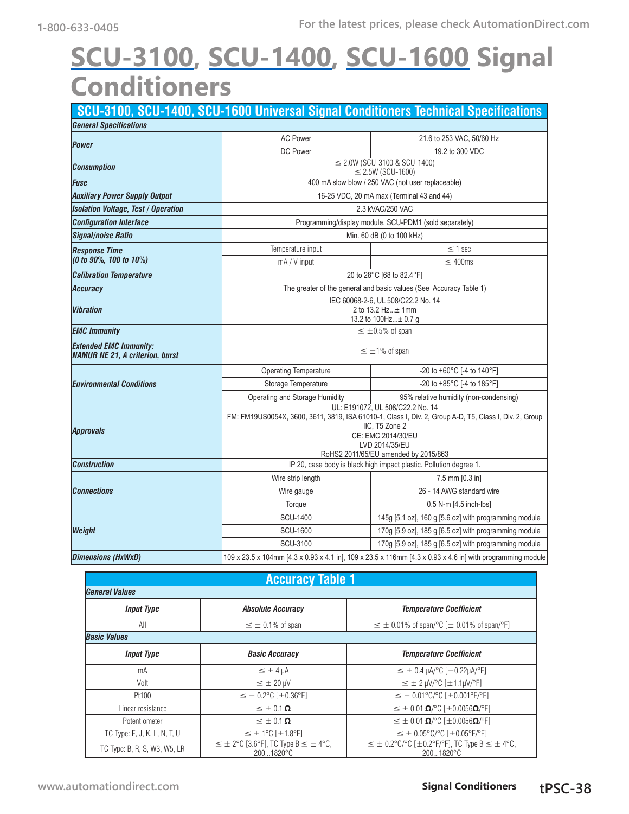# **[SCU-3100,](http://www.automationdirect.com/pn/SCU-3100) [SCU-1400](http://www.automationdirect.com/pn/SCU-1400), [SCU-1600](http://www.automationdirect.com/pn/SCU-1600) Signal Conditioners**

|                                                                         |                                                                                                                                                                                                                                              | SCU-3100, SCU-1400, SCU-1600 Universal Signal Conditioners Technical Specifications |  |
|-------------------------------------------------------------------------|----------------------------------------------------------------------------------------------------------------------------------------------------------------------------------------------------------------------------------------------|-------------------------------------------------------------------------------------|--|
| <b>General Specifications</b>                                           |                                                                                                                                                                                                                                              |                                                                                     |  |
| <b>Power</b>                                                            | <b>AC Power</b>                                                                                                                                                                                                                              | 21.6 to 253 VAC, 50/60 Hz                                                           |  |
|                                                                         | DC Power                                                                                                                                                                                                                                     | 19.2 to 300 VDC                                                                     |  |
| <b>Consumption</b>                                                      | $\leq$ 2.0W (SCU-3100 & SCU-1400)<br>$\leq$ 2.5W (SCU-1600)                                                                                                                                                                                  |                                                                                     |  |
| Fuse                                                                    |                                                                                                                                                                                                                                              | 400 mA slow blow / 250 VAC (not user replaceable)                                   |  |
| <b>Auxiliary Power Supply Output</b>                                    |                                                                                                                                                                                                                                              | 16-25 VDC, 20 mA max (Terminal 43 and 44)                                           |  |
| <b>Isolation Voltage, Test / Operation</b>                              |                                                                                                                                                                                                                                              | 2.3 kVAC/250 VAC                                                                    |  |
| <b>Configuration Interface</b>                                          |                                                                                                                                                                                                                                              | Programming/display module, SCU-PDM1 (sold separately)                              |  |
| <b>Signal/noise Ratio</b>                                               | Min. 60 dB (0 to 100 kHz)                                                                                                                                                                                                                    |                                                                                     |  |
| <b>Response Time</b>                                                    | Temperature input                                                                                                                                                                                                                            | $\leq$ 1 sec                                                                        |  |
| (0 to 90%, 100 to 10%)                                                  | mA / V input                                                                                                                                                                                                                                 | $\leq 400$ ms                                                                       |  |
| <b>Calibration Temperature</b>                                          |                                                                                                                                                                                                                                              | 20 to 28°C [68 to 82.4°F]                                                           |  |
| <b>Accuracy</b>                                                         |                                                                                                                                                                                                                                              | The greater of the general and basic values (See Accuracy Table 1)                  |  |
| <b>Vibration</b>                                                        | IEC 60068-2-6, UL 508/C22.2 No. 14<br>2 to 13.2 Hz± 1mm<br>13.2 to 100Hz± 0.7 g                                                                                                                                                              |                                                                                     |  |
| <b>EMC Immunity</b>                                                     | $\leq \pm 0.5\%$ of span                                                                                                                                                                                                                     |                                                                                     |  |
| <b>Extended EMC Immunity:</b><br><b>NAMUR NE 21, A criterion, burst</b> | $\leq \pm 1\%$ of span                                                                                                                                                                                                                       |                                                                                     |  |
|                                                                         | <b>Operating Temperature</b>                                                                                                                                                                                                                 | -20 to +60°C [-4 to 140°F]                                                          |  |
| <i><b>Environmental Conditions</b></i>                                  | Storage Temperature                                                                                                                                                                                                                          | -20 to +85°C [-4 to 185°F]                                                          |  |
|                                                                         | Operating and Storage Humidity                                                                                                                                                                                                               | 95% relative humidity (non-condensing)                                              |  |
| <b>Approvals</b>                                                        | UL: E191072, UL 508/C22.2 No. 14<br>FM: FM19US0054X, 3600, 3611, 3819, ISA 61010-1, Class I, Div. 2, Group A-D, T5, Class I, Div. 2, Group<br>IIC, T5 Zone 2<br>CE: EMC 2014/30/EU<br>LVD 2014/35/EU<br>RoHS2 2011/65/EU amended by 2015/863 |                                                                                     |  |
| <b>Construction</b>                                                     |                                                                                                                                                                                                                                              | IP 20, case body is black high impact plastic. Pollution degree 1.                  |  |
|                                                                         | Wire strip length                                                                                                                                                                                                                            | $7.5$ mm $[0.3$ in                                                                  |  |
| <b>Connections</b>                                                      | Wire gauge                                                                                                                                                                                                                                   | 26 - 14 AWG standard wire                                                           |  |
|                                                                         | Torque                                                                                                                                                                                                                                       | 0.5 N-m [4.5 inch-lbs]                                                              |  |
|                                                                         | <b>SCU-1400</b>                                                                                                                                                                                                                              | 145g [5.1 oz], 160 g [5.6 oz] with programming module                               |  |
| Weight                                                                  | <b>SCU-1600</b>                                                                                                                                                                                                                              | 170g [5.9 oz], 185 g [6.5 oz] with programming module                               |  |
|                                                                         | <b>SCU-3100</b>                                                                                                                                                                                                                              | 170g [5.9 oz], 185 g [6.5 oz] with programming module                               |  |
| <b>Dimensions (HxWxD)</b>                                               | 109 x 23.5 x 104mm [4.3 x 0.93 x 4.1 in], 109 x 23.5 x 116mm [4.3 x 0.93 x 4.6 in] with programming module                                                                                                                                   |                                                                                     |  |

| <b>Accuracy Table 1</b>      |                                                                                           |                                                                                                       |  |  |
|------------------------------|-------------------------------------------------------------------------------------------|-------------------------------------------------------------------------------------------------------|--|--|
| <b>General Values</b>        |                                                                                           |                                                                                                       |  |  |
| <b>Input Type</b>            | <b>Absolute Accuracy</b>                                                                  | <b>Temperature Coefficient</b>                                                                        |  |  |
| All                          | $\leq \pm 0.1\%$ of span                                                                  | $\leq \pm 0.01\%$ of span/°C [ $\pm 0.01\%$ of span/°F]                                               |  |  |
| <b>Basic Values</b>          |                                                                                           |                                                                                                       |  |  |
| <b>Input Type</b>            | <b>Basic Accuracy</b>                                                                     | <b>Temperature Coefficient</b>                                                                        |  |  |
| mA                           | $\leq \pm 4 \mu A$                                                                        | $\leq \pm 0.4$ µA/°C [ $\pm$ 0.22µA/°F]                                                               |  |  |
| Volt                         | $\leq \pm 20$ µV                                                                          | $\leq \pm 2$ µV/°C [ $\pm$ 1.1µV/°F]                                                                  |  |  |
| Pt100                        | $\leq \pm 0.2$ °C [ $\pm 0.36$ °F]                                                        | $\leq \pm 0.01^{\circ}$ C/°C [ $\pm 0.001^{\circ}$ F/°F]                                              |  |  |
| Linear resistance            | $\leq \pm 0.1 \Omega$                                                                     | $\leq \pm 0.01 \Omega$ /°C [ $\pm 0.0056 \Omega$ /°F]                                                 |  |  |
| Potentiometer                | $\leq \pm 0.1 \Omega$                                                                     | $\leq \pm 0.01 \Omega$ /°C [ $\pm 0.0056 \Omega$ /°F]                                                 |  |  |
| TC Type: E, J, K, L, N, T, U | $\leq$ ± 1°C [ $\pm$ 1.8°F]                                                               | $\leq \pm 0.05^{\circ}$ C/°C [ $\pm 0.05^{\circ}$ F/°F]                                               |  |  |
| TC Type: B, R, S, W3, W5, LR | $\leq \pm 2^{\circ}$ C [3.6 $^{\circ}$ F], TC Type B $\leq \pm 4^{\circ}$ C,<br>2001820°C | $\leq \pm 0.2^{\circ}$ C/°C [ $\pm 0.2^{\circ}$ F/°F], TC Type B $\leq \pm 4^{\circ}$ C,<br>2001820°C |  |  |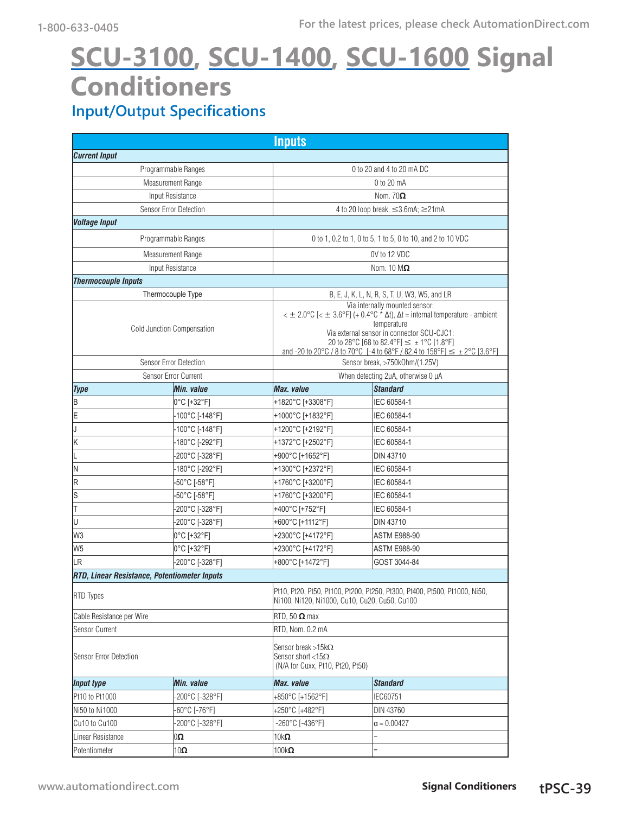## **Input/Output Specifications [SCU-3100,](http://www.automationdirect.com/pn/SCU-3100) [SCU-1400](http://www.automationdirect.com/pn/SCU-1400), [SCU-1600](http://www.automationdirect.com/pn/SCU-1600) Signal Conditioners**

|                            |                                                     | <b>Inputs</b>                                           |                                                                                                                                                                                                                                                                                                                                                                                 |  |  |
|----------------------------|-----------------------------------------------------|---------------------------------------------------------|---------------------------------------------------------------------------------------------------------------------------------------------------------------------------------------------------------------------------------------------------------------------------------------------------------------------------------------------------------------------------------|--|--|
| <b>Current Input</b>       |                                                     |                                                         |                                                                                                                                                                                                                                                                                                                                                                                 |  |  |
| Programmable Ranges        |                                                     |                                                         | 0 to 20 and 4 to 20 mA DC                                                                                                                                                                                                                                                                                                                                                       |  |  |
| Measurement Range          |                                                     |                                                         | 0 to 20 mA                                                                                                                                                                                                                                                                                                                                                                      |  |  |
| Input Resistance           |                                                     |                                                         | Nom. $70\Omega$                                                                                                                                                                                                                                                                                                                                                                 |  |  |
|                            | Sensor Error Detection                              |                                                         | 4 to 20 loop break, ≤3.6mA; ≥21mA                                                                                                                                                                                                                                                                                                                                               |  |  |
| <b>Voltage Input</b>       |                                                     |                                                         |                                                                                                                                                                                                                                                                                                                                                                                 |  |  |
|                            | Programmable Ranges                                 |                                                         | 0 to 1, 0.2 to 1, 0 to 5, 1 to 5, 0 to 10, and 2 to 10 VDC                                                                                                                                                                                                                                                                                                                      |  |  |
|                            | Measurement Range                                   |                                                         | OV to 12 VDC                                                                                                                                                                                                                                                                                                                                                                    |  |  |
|                            | Input Resistance                                    |                                                         | Nom. $10 \text{ M}\Omega$                                                                                                                                                                                                                                                                                                                                                       |  |  |
| <b>Thermocouple Inputs</b> |                                                     |                                                         |                                                                                                                                                                                                                                                                                                                                                                                 |  |  |
|                            | Thermocouple Type                                   |                                                         | B, E, J, K, L, N, R, S, T, U, W3, W5, and LR                                                                                                                                                                                                                                                                                                                                    |  |  |
| Cold Junction Compensation |                                                     |                                                         | Via internally mounted sensor:<br>$\epsilon \pm 2.0^{\circ}$ C [ $\epsilon \pm 3.6^{\circ}$ F] (+ 0.4°C $\star$ $\Delta t$ ), $\Delta t$ = internal temperature - ambient<br>temperature<br>Via external sensor in connector SCU-CJC1:<br>20 to 28°C [68 to 82.4°F] $\leq \pm 1$ °C [1.8°F]<br>and -20 to 20°C / 8 to 70°C [-4 to 68°F / 82.4 to 158°F] $\leq \pm 2$ °C [3.6°F] |  |  |
|                            | Sensor Error Detection                              |                                                         | Sensor break, >750kOhm/(1.25V)                                                                                                                                                                                                                                                                                                                                                  |  |  |
|                            | Sensor Error Current                                |                                                         | When detecting 2µA, otherwise 0 µA                                                                                                                                                                                                                                                                                                                                              |  |  |
| <b>Type</b>                | Min. value                                          | <b>Max.</b> value                                       | <b>Standard</b>                                                                                                                                                                                                                                                                                                                                                                 |  |  |
| ļΒ                         | 0°C [+32°F]                                         | +1820°C [+3308°F]                                       | IEC 60584-1                                                                                                                                                                                                                                                                                                                                                                     |  |  |
| E                          | -100°C [-148°F]                                     | +1000°C [+1832°F]                                       | IEC 60584-1                                                                                                                                                                                                                                                                                                                                                                     |  |  |
| IJ                         | -100°C [-148°F]                                     | +1200°C [+2192°F]                                       | IEC 60584-1                                                                                                                                                                                                                                                                                                                                                                     |  |  |
| lк                         | -180°C [-292°F]                                     | +1372°C [+2502°F]                                       | IEC 60584-1                                                                                                                                                                                                                                                                                                                                                                     |  |  |
|                            | -200°C [-328°F]                                     | +900°C [+1652°F]                                        | <b>DIN 43710</b>                                                                                                                                                                                                                                                                                                                                                                |  |  |
| IΝ                         | -180°C [-292°F]                                     | +1300°C [+2372°F]                                       | IEC 60584-1                                                                                                                                                                                                                                                                                                                                                                     |  |  |
| R                          | -50°C [-58°F]                                       | +1760°C [+3200°F]                                       | IEC 60584-1                                                                                                                                                                                                                                                                                                                                                                     |  |  |
| Ιs                         | -50°C [-58°F]                                       | +1760°C [+3200°F]                                       | IEC 60584-1                                                                                                                                                                                                                                                                                                                                                                     |  |  |
| ļτ                         | -200°C [-328°F]                                     | +400°C [+752°F]                                         | IEC 60584-1                                                                                                                                                                                                                                                                                                                                                                     |  |  |
| Iυ                         | -200°C [-328°F]                                     | +600°C [+1112°F]                                        | <b>DIN 43710</b>                                                                                                                                                                                                                                                                                                                                                                |  |  |
| lw3                        | 0°C [+32°F]                                         | +2300°C [+4172°F]                                       | <b>ASTM E988-90</b>                                                                                                                                                                                                                                                                                                                                                             |  |  |
| W <sub>5</sub>             | 0°C [+32°F]                                         | +2300°C [+4172°F]                                       | <b>ASTM E988-90</b>                                                                                                                                                                                                                                                                                                                                                             |  |  |
| llR.                       | -200°C [-328°F]                                     | +800°C [+1472°F]                                        | GOST 3044-84                                                                                                                                                                                                                                                                                                                                                                    |  |  |
|                            | <b>RTD, Linear Resistance, Potentiometer Inputs</b> |                                                         |                                                                                                                                                                                                                                                                                                                                                                                 |  |  |
| <b>RTD Types</b>           |                                                     |                                                         | Pt10, Pt20, Pt50, Pt100, Pt200, Pt250, Pt300, Pt400, Pt500, Pt1000, Ni50,<br>Ni100, Ni120, Ni1000, Cu10, Cu20, Cu50, Cu100                                                                                                                                                                                                                                                      |  |  |
| Cable Resistance per Wire  |                                                     | RTD, 50 $\Omega$ max                                    |                                                                                                                                                                                                                                                                                                                                                                                 |  |  |
| Sensor Current             |                                                     | RTD, Nom. 0.2 mA                                        |                                                                                                                                                                                                                                                                                                                                                                                 |  |  |
| Sensor Error Detection     |                                                     | Sensor break >15k $\Omega$<br>Sensor short <15 $\Omega$ | (N/A for Cuxx, Pt10, Pt20, Pt50)                                                                                                                                                                                                                                                                                                                                                |  |  |
| <b>Input type</b>          | Min. value                                          | <b>Max.</b> value                                       | <b>Standard</b>                                                                                                                                                                                                                                                                                                                                                                 |  |  |
| Pt10 to Pt1000             | -200°C [-328°F]                                     | +850°C [+1562°F]                                        | <b>IEC60751</b>                                                                                                                                                                                                                                                                                                                                                                 |  |  |
| Ni50 to Ni1000             | -60°C [-76°F]                                       | +250°C [+482°F]                                         | DIN 43760                                                                                                                                                                                                                                                                                                                                                                       |  |  |
| Cu10 to Cu100              | -200°C [-328°F]                                     | $-260^{\circ}$ C [-436 $^{\circ}$ F]                    | $\alpha = 0.00427$                                                                                                                                                                                                                                                                                                                                                              |  |  |
| Linear Resistance          | 0Ω                                                  | 10k $\boldsymbol{\Omega}$                               |                                                                                                                                                                                                                                                                                                                                                                                 |  |  |
| Potentiometer              | $10$ Ω                                              | $100k\Omega$                                            |                                                                                                                                                                                                                                                                                                                                                                                 |  |  |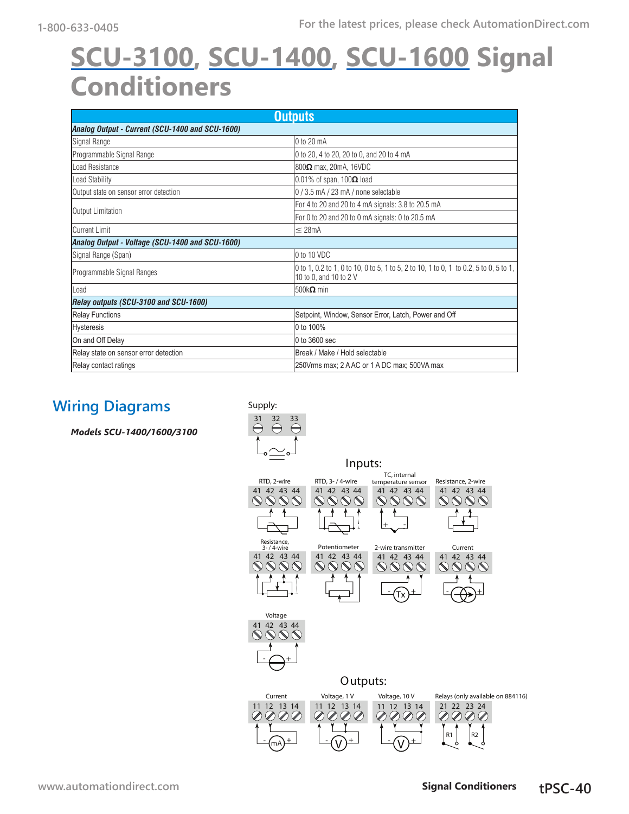# **[SCU-3100,](http://www.automationdirect.com/pn/SCU-3100) [SCU-1400](http://www.automationdirect.com/pn/SCU-1400), [SCU-1600](http://www.automationdirect.com/pn/SCU-1600) Signal Conditioners**

| <b>Outputs</b>                                  |                                                                                                                 |  |  |
|-------------------------------------------------|-----------------------------------------------------------------------------------------------------------------|--|--|
| Analog Output - Current (SCU-1400 and SCU-1600) |                                                                                                                 |  |  |
| Signal Range                                    | 10 to 20 mA                                                                                                     |  |  |
| Programmable Signal Range                       | 0 to 20, 4 to 20, 20 to 0, and 20 to 4 mA                                                                       |  |  |
| I oad Resistance                                | $ 800\Omega$ max, 20mA, 16VDC                                                                                   |  |  |
| Load Stability                                  | $ 0.01\%$ of span, 100 $\Omega$ load                                                                            |  |  |
| Output state on sensor error detection          | $ 0/3.5$ mA $/23$ mA $/$ none selectable                                                                        |  |  |
| Output Limitation                               | For 4 to 20 and 20 to 4 mA signals: 3.8 to 20.5 mA                                                              |  |  |
|                                                 | For 0 to 20 and 20 to 0 mA signals: 0 to 20.5 mA                                                                |  |  |
| Current Limit                                   | $\leq$ 28mA                                                                                                     |  |  |
| Analog Output - Voltage (SCU-1400 and SCU-1600) |                                                                                                                 |  |  |
| Signal Range (Span)                             | 0 to 10 VDC                                                                                                     |  |  |
| Programmable Signal Ranges                      | 0 to 1, 0.2 to 1, 0 to 10, 0 to 5, 1 to 5, 2 to 10, 1 to 0, 1 to 0.2, 5 to 0, 5 to 1,<br>10 to 0, and 10 to 2 V |  |  |
| lLoad                                           | 500k $\Omega$ min                                                                                               |  |  |
| Relay outputs (SCU-3100 and SCU-1600)           |                                                                                                                 |  |  |
| <b>Relay Functions</b>                          | Setpoint, Window, Sensor Error, Latch, Power and Off                                                            |  |  |
| <b>Hysteresis</b>                               | 0 to 100%                                                                                                       |  |  |
| On and Off Delay                                | 0 to 3600 sec                                                                                                   |  |  |
| Relay state on sensor error detection           | Break / Make / Hold selectable                                                                                  |  |  |
| Relay contact ratings                           | 250Vrms max: 2 A AC or 1 A DC max: 500VA max                                                                    |  |  |

## **Wiring Diagrams**

*Models SCU-1400/1600/3100*

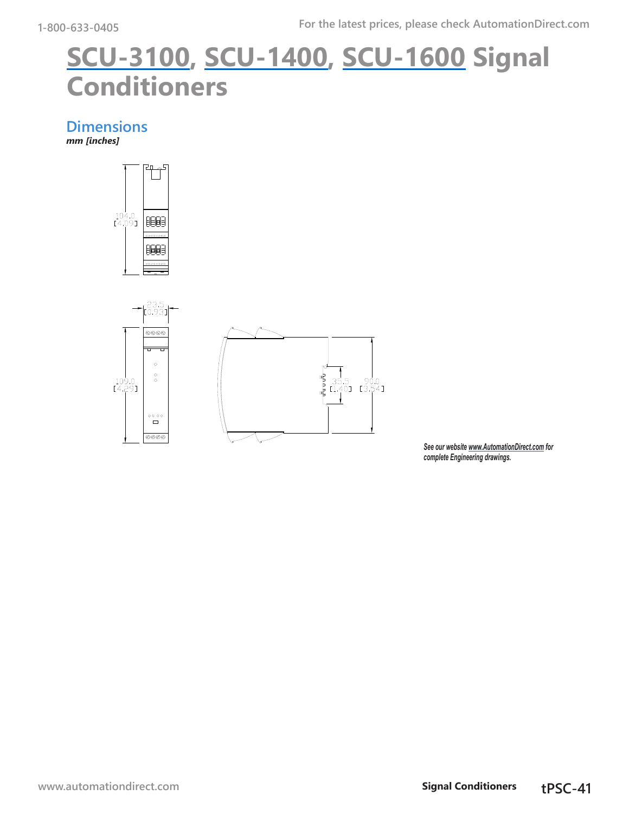# **[SCU-3100](http://www.automationdirect.com/pn/SCU-3100), [SCU-1400](http://www.automationdirect.com/pn/SCU-1400), [SCU-1600](http://www.automationdirect.com/pn/SCU-1600) Signal Conditioners**

**Dimensions** *mm [inches]*





*See our website [www.AutomationDirect.com](http://www.AutomationDirect.com) for complete Engineering drawings.*